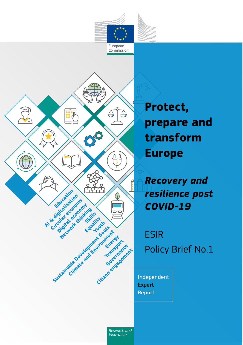

Commission



**Protect, prepare and transform Europe**

*Recovery and resilience post COVID-19*

ESIR Policy Brief No.1

Independent **Expert Report** 

*Research and Innovation*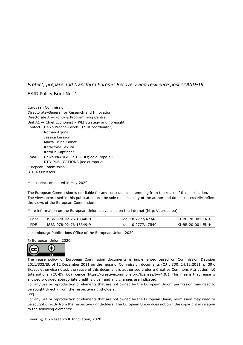## *Protect, prepare and transform Europe: Recovery and resilience post COVID-19*

### ESIR Policy Brief No. 1

Manuscript completed in May 2020.

The European Commission is not liable for any consequence stemming from the reuse of this publication. The views expressed in this publication are the sole responsibility of the author and do not necessarily reflect the views of the European Commission.

More information on the European Union is available on the internet (http://europa.eu).

| Print      | ISBN 978-92-76-18348-8 | doi:10.2777/47346 | KI-BE-20-001-EN-C |
|------------|------------------------|-------------------|-------------------|
| <b>PDF</b> | ISBN 978-92-76-18349-9 | doi:10.2777/47540 | KI-BE-20-001-EN-N |

Luxembourg: Publications Office of the European Union, 2020

© European Union, 2020



The reuse policy of European Commission documents is implemented based on Commission Decision 2011/833/EU of 12 December 2011 on the reuse of Commission documents (OJ L 330, 14.12.2011, p. 39). Except otherwise noted, the reuse of this document is authorised under a Creative Commons Attribution 4.0 International (CC-BY 4.0) licence (https://creativecommons.org/licenses/by/4.0/). This means that reuse is allowed provided appropriate credit is given and any changes are indicated.

For any use or reproduction of elements that are not owned by the European Union, permission may need to be sought directly from the respective rightholders.

[or]

For any use or reproduction of elements that are not owned by the European Union, permission may need to be sought directly from the respective rightholders. The European Union does not own the copyright in relation to the following elements:

Cover: © DG Research & Innovation, 2020.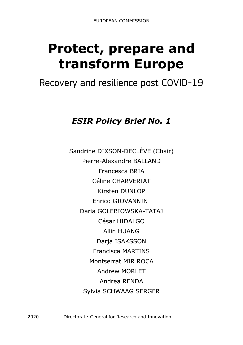# **Protect, prepare and transform Europe**

## Recovery and resilience post COVID-19

## *ESIR Policy Brief No. 1*

Sandrine DIXSON-DECLÈVE (Chair) Pierre-Alexandre BALLAND Francesca BRIA Céline CHARVERIAT Kirsten DUNLOP Enrico GIOVANNINI Daria GOLEBIOWSKA-TATAJ César HIDALGO Ailin HUANG Darja ISAKSSON Francisca MARTINS Montserrat MIR ROCA Andrew MORLET Andrea RENDA Sylvia SCHWAAG SERGER

2020 Directorate-General for Research and Innovation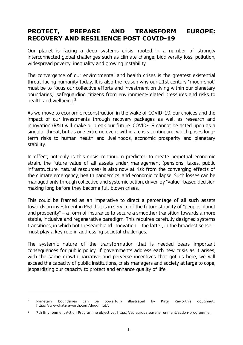## **PROTECT, PREPARE AND TRANSFORM EUROPE: RECOVERY AND RESILIENCE POST COVID-19**

Our planet is facing a deep systems crisis, rooted in a number of strongly interconnected global challenges such as climate change, biodiversity loss, pollution, widespread poverty, inequality and growing instability.

The convergence of our environmental and health crises is the greatest existential threat facing humanity today. It is also the reason why our 21st century "moon-shot" must be to focus our collective efforts and investment on living within our planetary boundaries, $^1$  safeguarding citizens from environment-related pressures and risks to health and wellbeing.<sup>2</sup>

As we move to economic reconstruction in the wake of COVID-19, our choices and the impact of our investments through recovery packages as well as research and innovation (R&I) will make or break our future. COVID-19 cannot be acted upon as a singular threat, but as one extreme event within a crisis continuum, which poses longterm risks to human health and livelihoods, economic prosperity and planetary stability.

In effect, not only is this crisis continuum predicted to create perpetual economic strain, the future value of all assets under management (pensions, taxes, public infrastructure, natural resources) is also now at risk from the converging effects of the climate emergency, health pandemics, and economic collapse. Such losses can be managed only through collective and systemic action, driven by "value"-based decision making long before they become full-blown crises.

This could be framed as an imperative to direct a percentage of all such assets towards an investment in R&I that is in service of the future stability of "people, planet and prosperity" – a form of insurance to secure a smoother transition towards a more stable, inclusive and regenerative paradigm. This requires carefully designed systems transitions, in which both research and innovation – the latter, in the broadest sense – must play a key role in addressing societal challenges.

The systemic nature of the transformation that is needed bears important consequences for public policy: if governments address each new crisis as it arises, with the same growth narrative and perverse incentives that got us here, we will exceed the capacity of public institutions, crisis managers and society at large to cope, jeopardizing our capacity to protect and enhance quality of life.

ł

<sup>&</sup>lt;sup>1</sup> Planetary boundaries can be powerfully illustrated by Kate Raworth's doughnut: [https://www.kateraworth.com/doughnut/.](https://www.kateraworth.com/doughnut/)

<sup>2</sup> 7th Environment Action Programme objective: https://ec.europa.eu/environment/action-programme.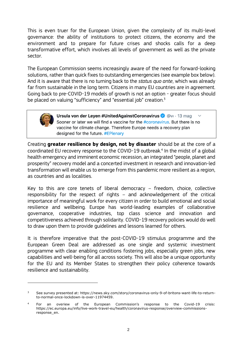This is even truer for the European Union, given the complexity of its multi-level governance: the ability of institutions to protect citizens, the economy and the environment and to prepare for future crises and shocks calls for a deep transformative effort, which involves all levels of government as well as the private sector.

The European Commission seems increasingly aware of the need for forward-looking solutions, rather than quick fixes to outstanding emergencies (see example box below). And it is aware that there is no turning back to the *status quo ante*, which was already far from sustainable in the long term. Citizens in many EU countries are in agreement. Going back to pre-COVID-19 models of growth is not an option - greater focus should be placed on valuing "sufficiency" and "essential job" creation.<sup>3</sup>



ł

Ursula von der Leyen #UnitedAgainstCoronavirus @ @vi · 13 mag Sooner or later we will find a vaccine for the #coronavirus. But there is no vaccine for climate change. Therefore Europe needs a recovery plan designed for the future. #EPlenary

Creating **greater resilience by design, not by disaster** should be at the core of a coordinated EU recovery response to the COVID-19 outbreak. 4 In the midst of a global health emergency and imminent economic recession, an integrated "people, planet and prosperity" recovery model and a concerted investment in research and innovation-led transformation will enable us to emerge from this pandemic more resilient as a region, as countries and as localities.

Key to this are core tenets of liberal democracy – freedom, choice, collective responsibility for the respect of rights – and acknowledgement of the critical importance of meaningful work for every citizen in order to build emotional and social resilience and wellbeing. Europe has world-leading examples of collaborative governance, cooperative industries, top class science and innovation and competitiveness achieved through solidarity. COVID-19 recovery policies would do well to draw upon them to provide guidelines and lessons learned for others.

It is therefore imperative that the post-COVID-19 stimulus programme and the European Green Deal are addressed as one single and systemic investment programme with clear enabling conditions fostering jobs, especially green jobs, new capabilities and well-being for all across society. This will also be a unique opportunity for the EU and its Member States to strengthen their policy coherence towards resilience and sustainability.

<sup>3</sup> See survey presented at: https://news.sky.com/story/coronavirus-only-9-of-britons-want-life-to-returnto-normal-once-lockdown-is-over-11974459.

<sup>4</sup> For an overiew of the European Commission's response to the Covid-19 crisis: https://ec.europa.eu/info/live-work-travel-eu/health/coronavirus-response/overview-commissionsresponse\_en.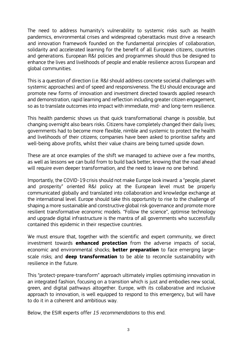The need to address humanity's vulnerability to systemic risks such as health pandemics, environmental crises and widespread cyberattacks must drive a research and innovation framework founded on the fundamental principles of collaboration, solidarity and accelerated learning for the benefit of all European citizens, countries and generations. European R&I policies and programmes should thus be designed to enhance the lives and livelihoods of people and enable resilience across European and global communities.

This is a question of direction (i.e. R&I should address concrete societal challenges with systemic approaches) and of speed and responsiveness. The EU should encourage and promote new forms of innovation and investment directed towards applied research and demonstration, rapid learning and reflection including greater citizen engagement, so as to translate outcomes into impact with immediate, mid- and long-term resilience.

This health pandemic shows us that quick transformational change is possible, but changing overnight also bears risks. Citizens have completely changed their daily lives; governments had to become more flexible, nimble and systemic to protect the health and livelihoods of their citizens; companies have been asked to prioritise safety and well-being above profits, whilst their value chains are being turned upside down.

These are at once examples of the shift we managed to achieve over a few months, as well as lessons we can build from to build back better, knowing that the road ahead will require even deeper transformation, and the need to leave no one behind.

Importantly, the COVID-19 crisis should not make Europe look inward: a "people, planet and prosperity" oriented R&I policy at the European level must be properly communicated globally and translated into collaboration and knowledge exchange at the international level. Europe should take this opportunity to rise to the challenge of shaping a more sustainable and constructive global risk governance and promote more resilient transformative economic models. "Follow the science", optimise technology and upgrade digital infrastructure is the mantra of all governments who successfully contained this epidemic in their respective countries.

We must ensure that, together with the scientific and expert community, we direct investment towards **enhanced protection** from the adverse impacts of social, economic and environmental shocks; **better preparation** to face emerging largescale risks; and **deep transformation** to be able to reconcile sustainability with resilience in the future.

This "protect-prepare-transform" approach ultimately implies optimising innovation in an integrated fashion, focusing on a transition which is just and embodies new social, green, and digital pathways altogether. Europe, with its collaborative and inclusive approach to innovation, is well equipped to respond to this emergency, but will have to do it in a coherent and ambitious way.

Below, the ESIR experts offer *15 recommendations* to this end.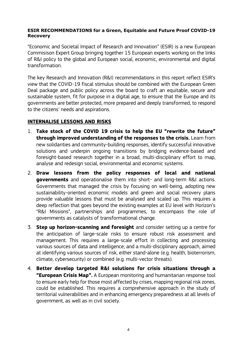## **ESIR RECOMMENDATIONS for a Green, Equitable and Future Proof COVID-19 Recovery**

"Economic and Societal Impact of Research and Innovation" (ESIR) is a new European Commisison Expert Group bringing together 15 European experts working on the links of R&I policy to the global and European social, economic, environmental and digital transformation.

The key Research and Innovation (R&I) recommendations in this report reflect ESIR's view that the COVID-19 fiscal stimulus should be combined with the European Green Deal package and public policy across the board to craft an equitable, secure and sustainable system, fit for purpose in a digital age, to ensure that the Europe and its governments are better protected, more prepared and deeply transformed, to respond to the citizens' needs and aspirations.

## **INTERNALISE LESSONS AND RISKS**

- 1. **Take stock of the COVID 19 crisis to help the EU "rewrite the future" through improved understanding of the responses to the crisis.** Learn from new solidarities and community-building responses, identify successful innovative solutions and underpin ongoing transitions by bridging evidence-based and foresight-based research together in a broad, multi-disciplinary effort to map, analyse and redesign social, environmental and economic systems.
- 2. **Draw lessons from the policy responses of local and national governments** and operationalise them into short- and long-term R&I actions. Governments that managed the crisis by focusing on well-being, adopting new sustainability-oriented economic models and green and social recovery plans provide valuable lessons that must be analysed and scaled up. This requires a deep reflection that goes beyond the existing examples at EU level with Horizon's "R&I Missions", partnerships and programmes, to encompass the role of governments as catalysts of transformational change.
- 3. **Step up horizon-scanning and foresight** and consider setting up a centre for the anticipation of large-scale risks to ensure robust risk assessment and management. This requires a large-scale effort in collecting and processing various sources of data and intelligence; and a multi-disciplinary approach, aimed at identifying various sources of risk, either stand-alone (e.g. health, bioterrorism, climate, cybersecurity) or combined (e.g. multi-vector threats).
- 4. **Better develop targeted R&I solutions for crisis situations through a "European Crisis Map".** A European monitoring and humanitarian response tool to ensure early help for those most affected by crises, mapping regional risk zones, could be established. This requires a comprehensive approach in the study of territorial vulnerabilities and in enhancing emergency preparedness at all levels of government, as well as in civil society.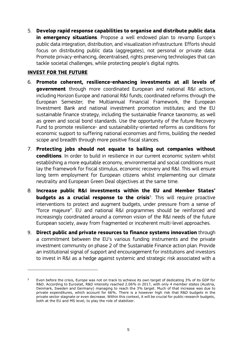5. **Develop rapid response capabilities to organise and distribute public data in emergency situations**. Propose a well endowed plan to revamp Europe's public data integration, distribution, and visualization infrastructure. Efforts should focus on distributing public data (aggregates), not personal or private data. Promote privacy-enhancing, decentralised, rights preserving technologies that can tackle societal challenges, while protecting people's digital rights.

## **INVEST FOR THE FUTURE**

ł

- 6. **Promote coherent, resilience-enhancing investments at all levels of government** through more coordinated European and national R&I actions, including Horizon Europe and national R&I funds; coordinated reforms through the European Semester; the Multiannual Financial Framework, the European Investment Bank and national investment promotion institutes; and the EU sustainable finance strategy, including the sustainable finance taxonomy, as well as green and social bond standards. Use the opportunity of the future Recovery Fund to promote resilience- and sustainability-oriented reforms as conditions for economic support to suffering national economies and firms, building the needed scope and breadth through more positive fiscal stances.
- 7. **Protecting jobs should not equate to bailing out companies without conditions**. In order to build in resilience in our current economic system whilst establishing a more equitable economy, environmental and social conditions must lay the framework for fiscal stimulus, economic recovery and R&I. This will ensure long term employment for European citizens whilst implementing our climate neutrality and European Green Deal objectives at the same time.
- 8. **Increase public R&I investments within the EU and Member States' budgets as a crucial response to the crisis**<sup>5</sup>. This will require proactive interventions to protect and augment budgets, under pressure from a sense of "force majeure". EU and national R&I programmes should be reinforced and increasingly coordinated around a common vision of the R&I needs of the future European society, away from fragmented or incoherent multi-level approaches.
- 9. **Direct public and private resources to finance systems innovation** through a commitment between the EU's various funding instruments and the private investment community on phase 2 of the Sustainable Finance action plan. Provide an institutional signal of support and encouragement for institutions and investors to invest in R&I as a hedge against systemic and strategic risk associated with a

<sup>5</sup> Even before the crisis, Europe was not on track to achieve its own target of dedicating 3% of its GDP for R&D. According to Eurostat, R&D intensity reached 2.06% in 2017, with only 4 member states (Austria, Denmark, Sweden and Germany) managing to reach the 3% target. Much of that increase was due to private expenditures, which account for 66%. There is a however high risk that R&D budgets in the private sector stagnate or even decrease. Within this context, it will be crucial for public research budgets, both at the EU and MS level, to play the role of stabilizer.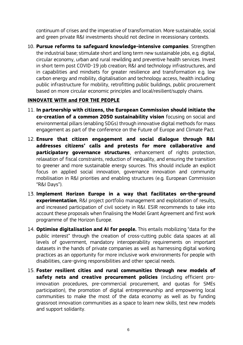continuum of crises and the imperative of transformation. More sustainable, social and green private R&I investments should not decline in recessionary contexts.

10. **Pursue reforms to safeguard knowledge-intensive companies**. Strengthen the industrial base; stimulate short and long term new sustainable jobs, e.g. digital, circular economy, urban and rural rewilding and preventive health services. Invest in short term post COVID-19 job creation; R&I and technology infrastructures, and in capabilities and mindsets for greater resilience and transformation e.g. low carbon energy and mobility, digitalisation and technology access, health including: public infrastructure for mobility, retrofitting public buildings, public procurement based on more circular economic principles and local/resilient/supply chains.

## **INNOVATE WITH and FOR THE PEOPLE**

- 11. **In partnership with citizens, the European Commission should initiate the co-creation of a common 2050 sustainability vision** focusing on social and environmental pillars (enabling SDGs) through innovative digital methods for mass engagement as part of the conference on the Future of Europe and Climate Pact.
- 12. **Ensure that citizen engagement and social dialogue through R&I addresses citizens' calls and protests for more collaborative and participatory governance structures**, enhancement of rights protection, relaxation of fiscal constraints, reduction of inequality, and ensuring the transition to greener and more sustainable energy sources. This should include an explicit focus on applied social innovation, governance innovation and community mobilisation in R&I priorities and enabling structures (e.g. European Commission "R&I Days").
- 13. **Implement Horizon Europe in a way that facilitates on-the-ground experimentation**, R&I project portfolio management and exploitation of results, and increased participation of civil society in R&I. ESIR recommends to take into account these proposals when finalising the Model Grant Agreement and first work programme of the Horizon Europe.
- 14. **Optimise digitalisation and AI for people.** This entails mobilizing "data for the public interest" through the creation of cross-cutting public data spaces at all levels of government, mandatory interoperability requirements on important datasets in the hands of private companies as well as harnessing digital working practices as an opportunity for more inclusive work environments for people with disabilities, care-giving responsibilities and other special needs.
- 15. **Foster resilient cities and rural communities through new models of safety nets and creative procurement policies** (including efficient proinnovation procedures, pre-commercial procurement, and quotas for SMEs participation), the promotion of digital entrepreneurship and empowering local communities to make the most of the data economy as well as by funding grassroot innovation communities as a space to learn new skills, test new models and support solidarity.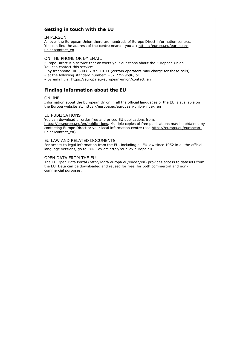### **Getting in touch with the EU**

#### IN PERSON

All over the European Union there are hundreds of Europe Direct information centres. You can find the address of the centre nearest you at: https://europa.eu/europeanunion/contact\_en

#### ON THE PHONE OR BY EMAIL

Europe Direct is a service that answers your questions about the European Union. You can contact this service:

- by freephone: 00 800 6 7 8 9 10 11 (certain operators may charge for these calls),
- at the following standard number:  $+32$  22999696, or
- by email via: https://europa.eu/european-union/contact\_en

## **Finding information about the EU**

#### ONLINE

Information about the European Union in all the official languages of the EU is available on the Europa website at: https://europa.eu/european-union/index\_en

#### EU PUBLICATIONS

You can download or order free and priced EU publications from: [https://op.europa.eu/en/publications.](https://op.europa.eu/en/publications) Multiple copies of free publications may be obtained by contacting Europe Direct or your local information centre (see https://europa.eu/europeanunion/contact\_en)

#### EU LAW AND RELATED DOCUMENTS

For access to legal information from the EU, including all EU law since 1952 in all the official language versions, go to EUR-Lex at: [http://eur-lex.europa.eu](http://eur-lex.europa.eu/)

#### OPEN DATA FROM THE EU

The EU Open Data Portal [\(http://data.europa.eu/euodp/en\)](http://data.europa.eu/euodp/en) provides access to datasets from the EU. Data can be downloaded and reused for free, for both commercial and noncommercial purposes.